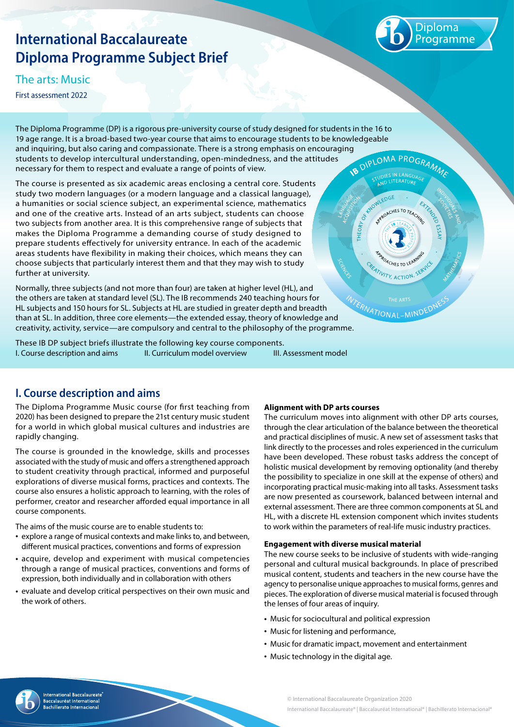# **International Baccalaureate Diploma Programme Subject Brief**

Diploma .<br>rogramme

The arts: Music

First assessment 2022

The Diploma Programme (DP) is a rigorous pre-university course of study designed for students in the 16 to 19 age range. It is a broad-based two-year course that aims to encourage students to be knowledgeable and inquiring, but also caring and compassionate. There is a strong emphasis on encouraging<br>students to develop intercultural understanding, open-mindedness, and the attitudes<br>necessary for them to respect and evaluate a r students to develop intercultural understanding, open-mindedness, and the attitudes necessary for them to respect and evaluate a range of points of view.

The course is presented as six academic areas enclosing a central core. Students study two modern languages (or a modern language and a classical language), a humanities or social science subject, an experimental science, mathematics and one of the creative arts. Instead of an arts subject, students can choose two subjects from another area. It is this comprehensive range of subjects that makes the Diploma Programme a demanding course of study designed to prepare students effectively for university entrance. In each of the academic areas students have flexibility in making their choices, which means they can choose subjects that particularly interest them and that they may wish to study further at university.

Normally, three subjects (and not more than four) are taken at higher level (HL), and the others are taken at standard level (SL). The IB recommends 240 teaching hours for HL subjects and 150 hours for SL. Subjects at HL are studied in greater depth and breadth than at SL. In addition, three core elements—the extended essay, theory of knowledge and the others are taken at standard level (SL). The in recommended and standard breadth<br>HL subjects and 150 hours for SL. Subjects at HL are studied in greater depth and breadth<br>than at SL. In addition, three core elements—th

I. Course description and aims II. Curriculum model overview III. Assessment model These IB DP subject briefs illustrate the following key course components.

**I. Course description and aims**

The Diploma Programme Music course (for first teaching from 2020) has been designed to prepare the 21st century music student for a world in which global musical cultures and industries are rapidly changing.

The course is grounded in the knowledge, skills and processes associated with the study of music and offers a strengthened approach to student creativity through practical, informed and purposeful explorations of diverse musical forms, practices and contexts. The course also ensures a holistic approach to learning, with the roles of performer, creator and researcher afforded equal importance in all course components.

The aims of the music course are to enable students to:

- explore a range of musical contexts and make links to, and between, different musical practices, conventions and forms of expression
- acquire, develop and experiment with musical competencies through a range of musical practices, conventions and forms of expression, both individually and in collaboration with others
- evaluate and develop critical perspectives on their own music and the work of others.

## **Alignment with DP arts courses**

The curriculum moves into alignment with other DP arts courses, through the clear articulation of the balance between the theoretical and practical disciplines of music. A new set of assessment tasks that link directly to the processes and roles experienced in the curriculum have been developed. These robust tasks address the concept of holistic musical development by removing optionality (and thereby the possibility to specialize in one skill at the expense of others) and incorporating practical music-making into all tasks. Assessment tasks are now presented as coursework, balanced between internal and external assessment. There are three common components at SL and HL, with a discrete HL extension component which invites students to work within the parameters of real-life music industry practices.

ENDWLEDGE

O<sub>k</sub> **THEORY** 

RPROACHES TO TEACHING

**ITIVITY, ACTION** 

### **Engagement with diverse musical material**

The new course seeks to be inclusive of students with wide-ranging personal and cultural musical backgrounds. In place of prescribed musical content, students and teachers in the new course have the agency to personalise unique approaches to musical forms, genres and pieces. The exploration of diverse musical material is focused through the lenses of four areas of inquiry.

- Music for sociocultural and political expression
- Music for listening and performance,
- Music for dramatic impact, movement and entertainment
- Music technology in the digital age.

© International Baccalaureate Organization 2020 International Baccalaureate® | Baccalauréat International® | Bachillerato Internacional®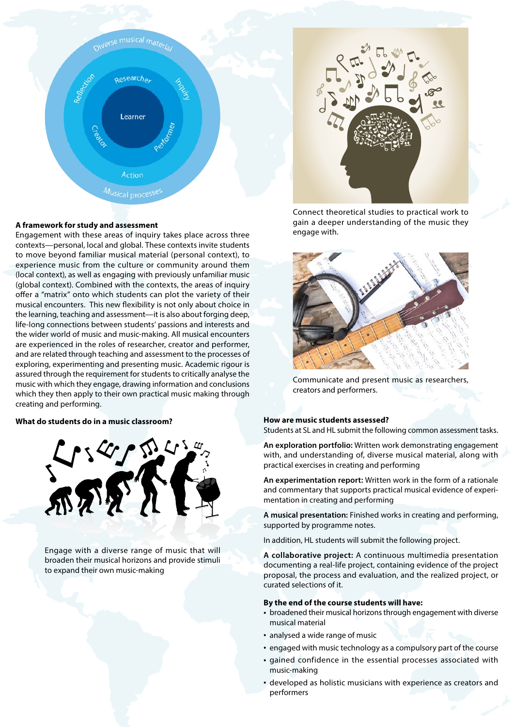

### **A framework for study and assessment**

Engagement with these areas of inquiry takes place across three contexts—personal, local and global. These contexts invite students to move beyond familiar musical material (personal context), to experience music from the culture or community around them (local context), as well as engaging with previously unfamiliar music (global context). Combined with the contexts, the areas of inquiry offer a "matrix" onto which students can plot the variety of their musical encounters. This new flexibility is not only about choice in the learning, teaching and assessment—it is also about forging deep, life-long connections between students' passions and interests and the wider world of music and music-making. All musical encounters are experienced in the roles of researcher, creator and performer, and are related through teaching and assessment to the processes of exploring, experimenting and presenting music. Academic rigour is assured through the requirement for students to critically analyse the music with which they engage, drawing information and conclusions which they then apply to their own practical music making through creating and performing.



Engage with a diverse range of music that will broaden their musical horizons and provide stimuli to expand their own music-making



Connect theoretical studies to practical work to gain a deeper understanding of the music they engage with.



Communicate and present music as researchers, creators and performers.

Students at SL and HL submit the following common assessment tasks.

**An exploration portfolio:** Written work demonstrating engagement with, and understanding of, diverse musical material, along with practical exercises in creating and performing

**An experimentation report:** Written work in the form of a rationale and commentary that supports practical musical evidence of experimentation in creating and performing

**A musical presentation:** Finished works in creating and performing, supported by programme notes.

In addition, HL students will submit the following project.

**A collaborative project:** A continuous multimedia presentation documenting a real-life project, containing evidence of the project proposal, the process and evaluation, and the realized project, or curated selections of it.

### **By the end of the course students will have:**

- broadened their musical horizons through engagement with diverse musical material
- analysed a wide range of music
- engaged with music technology as a compulsory part of the course • gained confidence in the essential processes associated with
- music-making
- developed as holistic musicians with experience as creators and performers